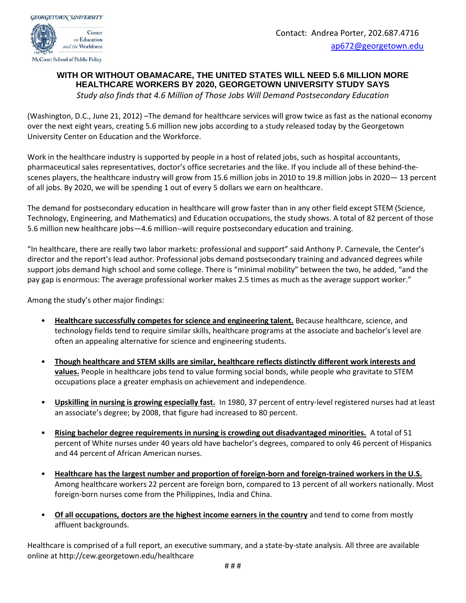

## **WITH OR WITHOUT OBAMACARE, THE UNITED STATES WILL NEED 5.6 MILLION MORE HEALTHCARE WORKERS BY 2020, GEORGETOWN UNIVERSITY STUDY SAYS**

*Study also finds that 4.6 Million of Those Jobs Will Demand Postsecondary Education*

(Washington, D.C., June 21, 2012) –The demand for healthcare services will grow twice as fast as the national economy over the next eight years, creating 5.6 million new jobs according to a study released today by the Georgetown University Center on Education and the Workforce.

Work in the healthcare industry is supported by people in a host of related jobs, such as hospital accountants, pharmaceutical sales representatives, doctor's office secretaries and the like. If you include all of these behind-thescenes players, the healthcare industry will grow from 15.6 million jobs in 2010 to 19.8 million jobs in 2020— 13 percent of all jobs. By 2020, we will be spending 1 out of every 5 dollars we earn on healthcare.

The demand for postsecondary education in healthcare will grow faster than in any other field except STEM (Science, Technology, Engineering, and Mathematics) and Education occupations, the study shows. A total of 82 percent of those 5.6 million new healthcare jobs—4.6 million--will require postsecondary education and training.

"In healthcare, there are really two labor markets: professional and support" said Anthony P. Carnevale, the Center's director and the report's lead author. Professional jobs demand postsecondary training and advanced degrees while support jobs demand high school and some college. There is "minimal mobility" between the two, he added, "and the pay gap is enormous: The average professional worker makes 2.5 times as much as the average support worker."

Among the study's other major findings:

- **Healthcare successfully competes for science and engineering talent.** Because healthcare, science, and technology fields tend to require similar skills, healthcare programs at the associate and bachelor's level are often an appealing alternative for science and engineering students.
- **Though healthcare and STEM skills are similar, healthcare reflects distinctly different work interests and values.** People in healthcare jobs tend to value forming social bonds, while people who gravitate to STEM occupations place a greater emphasis on achievement and independence.
- **Upskilling in nursing is growing especially fast.** In 1980, 37 percent of entry-level registered nurses had at least an associate's degree; by 2008, that figure had increased to 80 percent.
- **Rising bachelor degree requirements in nursing is crowding out disadvantaged minorities.** A total of 51 percent of White nurses under 40 years old have bachelor's degrees, compared to only 46 percent of Hispanics and 44 percent of African American nurses.
- **Healthcare has the largest number and proportion of foreign-born and foreign-trained workers in the U.S.** Among healthcare workers 22 percent are foreign born, compared to 13 percent of all workers nationally. Most foreign-born nurses come from the Philippines, India and China.
- **Of all occupations, doctors are the highest income earners in the country** and tend to come from mostly affluent backgrounds.

Healthcare is comprised of a full report, an executive summary, and a state-by-state analysis. All three are available online at http://cew.georgetown.edu/healthcare